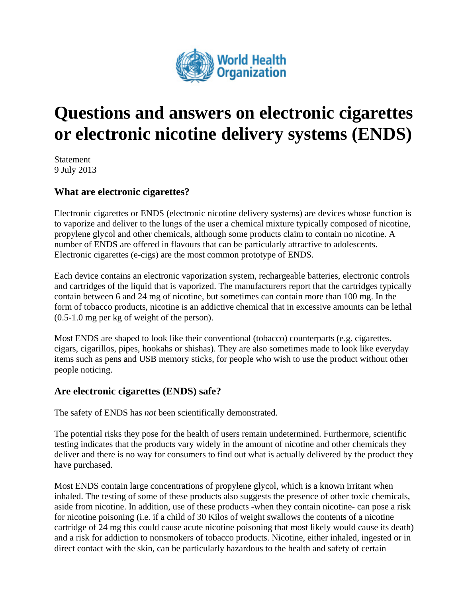

# **Questions and answers on electronic cigarettes or electronic nicotine delivery systems (ENDS)**

Statement 9 July 2013

## **What are electronic cigarettes?**

Electronic cigarettes or ENDS (electronic nicotine delivery systems) are devices whose function is to vaporize and deliver to the lungs of the user a chemical mixture typically composed of nicotine, propylene glycol and other chemicals, although some products claim to contain no nicotine. A number of ENDS are offered in flavours that can be particularly attractive to adolescents. Electronic cigarettes (e-cigs) are the most common prototype of ENDS.

Each device contains an electronic vaporization system, rechargeable batteries, electronic controls and cartridges of the liquid that is vaporized. The manufacturers report that the cartridges typically contain between 6 and 24 mg of nicotine, but sometimes can contain more than 100 mg. In the form of tobacco products, nicotine is an addictive chemical that in excessive amounts can be lethal (0.5-1.0 mg per kg of weight of the person).

Most ENDS are shaped to look like their conventional (tobacco) counterparts (e.g. cigarettes, cigars, cigarillos, pipes, hookahs or shishas). They are also sometimes made to look like everyday items such as pens and USB memory sticks, for people who wish to use the product without other people noticing.

#### **Are electronic cigarettes (ENDS) safe?**

The safety of ENDS has *not* been scientifically demonstrated.

The potential risks they pose for the health of users remain undetermined. Furthermore, scientific testing indicates that the products vary widely in the amount of nicotine and other chemicals they deliver and there is no way for consumers to find out what is actually delivered by the product they have purchased.

Most ENDS contain large concentrations of propylene glycol, which is a known irritant when inhaled. The testing of some of these products also suggests the presence of other toxic chemicals, aside from nicotine. In addition, use of these products -when they contain nicotine- can pose a risk for nicotine poisoning (i.e. if a child of 30 Kilos of weight swallows the contents of a nicotine cartridge of 24 mg this could cause acute nicotine poisoning that most likely would cause its death) and a risk for addiction to nonsmokers of tobacco products. Nicotine, either inhaled, ingested or in direct contact with the skin, can be particularly hazardous to the health and safety of certain